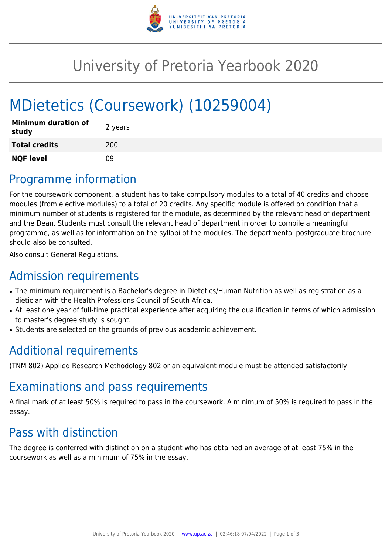

# University of Pretoria Yearbook 2020

# MDietetics (Coursework) (10259004)

| <b>Minimum duration of</b><br>study | 2 years |
|-------------------------------------|---------|
| <b>Total credits</b>                | 200     |
| <b>NQF level</b>                    | nq      |

## Programme information

For the coursework component, a student has to take compulsory modules to a total of 40 credits and choose modules (from elective modules) to a total of 20 credits. Any specific module is offered on condition that a minimum number of students is registered for the module, as determined by the relevant head of department and the Dean. Students must consult the relevant head of department in order to compile a meaningful programme, as well as for information on the syllabi of the modules. The departmental postgraduate brochure should also be consulted.

Also consult General Regulations.

## Admission requirements

- The minimum requirement is a Bachelor's degree in Dietetics/Human Nutrition as well as registration as a dietician with the Health Professions Council of South Africa.
- At least one year of full-time practical experience after acquiring the qualification in terms of which admission to master's degree study is sought.
- Students are selected on the grounds of previous academic achievement.

# Additional requirements

(TNM 802) Applied Research Methodology 802 or an equivalent module must be attended satisfactorily.

### Examinations and pass requirements

A final mark of at least 50% is required to pass in the coursework. A minimum of 50% is required to pass in the essay.

# Pass with distinction

The degree is conferred with distinction on a student who has obtained an average of at least 75% in the coursework as well as a minimum of 75% in the essay.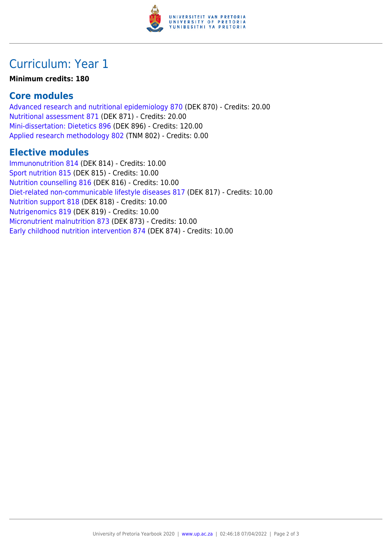

### Curriculum: Year 1

#### **Minimum credits: 180**

### **Core modules**

[Advanced research and nutritional epidemiology 870](https://www.up.ac.za/parents/yearbooks/2020/modules/view/DEK 870) (DEK 870) - Credits: 20.00 [Nutritional assessment 871](https://www.up.ac.za/parents/yearbooks/2020/modules/view/DEK 871) (DEK 871) - Credits: 20.00 [Mini-dissertation: Dietetics 896](https://www.up.ac.za/parents/yearbooks/2020/modules/view/DEK 896) (DEK 896) - Credits: 120.00 [Applied research methodology 802](https://www.up.ac.za/parents/yearbooks/2020/modules/view/TNM 802) (TNM 802) - Credits: 0.00

### **Elective modules**

[Immunonutrition 814](https://www.up.ac.za/parents/yearbooks/2020/modules/view/DEK 814) (DEK 814) - Credits: 10.00 [Sport nutrition 815](https://www.up.ac.za/parents/yearbooks/2020/modules/view/DEK 815) (DEK 815) - Credits: 10.00 [Nutrition counselling 816](https://www.up.ac.za/parents/yearbooks/2020/modules/view/DEK 816) (DEK 816) - Credits: 10.00 [Diet-related non-communicable lifestyle diseases 817](https://www.up.ac.za/parents/yearbooks/2020/modules/view/DEK 817) (DEK 817) - Credits: 10.00 [Nutrition support 818](https://www.up.ac.za/parents/yearbooks/2020/modules/view/DEK 818) (DEK 818) - Credits: 10.00 [Nutrigenomics 819](https://www.up.ac.za/parents/yearbooks/2020/modules/view/DEK 819) (DEK 819) - Credits: 10.00 [Micronutrient malnutrition 873](https://www.up.ac.za/parents/yearbooks/2020/modules/view/DEK 873) (DEK 873) - Credits: 10.00 [Early childhood nutrition intervention 874](https://www.up.ac.za/parents/yearbooks/2020/modules/view/DEK 874) (DEK 874) - Credits: 10.00